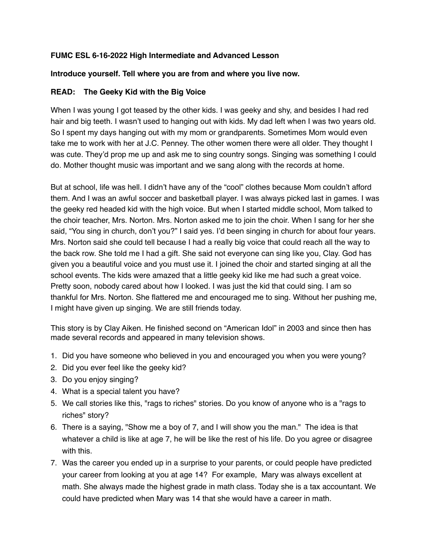## **FUMC ESL 6-16-2022 High Intermediate and Advanced Lesson**

## **Introduce yourself. Tell where you are from and where you live now.**

## **READ: The Geeky Kid with the Big Voice**

When I was young I got teased by the other kids. I was geeky and shy, and besides I had red hair and big teeth. I wasn't used to hanging out with kids. My dad left when I was two years old. So I spent my days hanging out with my mom or grandparents. Sometimes Mom would even take me to work with her at J.C. Penney. The other women there were all older. They thought I was cute. They'd prop me up and ask me to sing country songs. Singing was something I could do. Mother thought music was important and we sang along with the records at home.

But at school, life was hell. I didn't have any of the "cool" clothes because Mom couldn't afford them. And I was an awful soccer and basketball player. I was always picked last in games. I was the geeky red headed kid with the high voice. But when I started middle school, Mom talked to the choir teacher, Mrs. Norton. Mrs. Norton asked me to join the choir. When I sang for her she said, "You sing in church, don't you?" I said yes. I'd been singing in church for about four years. Mrs. Norton said she could tell because I had a really big voice that could reach all the way to the back row. She told me I had a gift. She said not everyone can sing like you, Clay. God has given you a beautiful voice and you must use it. I joined the choir and started singing at all the school events. The kids were amazed that a little geeky kid like me had such a great voice. Pretty soon, nobody cared about how I looked. I was just the kid that could sing. I am so thankful for Mrs. Norton. She flattered me and encouraged me to sing. Without her pushing me, I might have given up singing. We are still friends today.

This story is by Clay Aiken. He finished second on "American Idol" in 2003 and since then has made several records and appeared in many television shows.

- 1. Did you have someone who believed in you and encouraged you when you were young?
- 2. Did you ever feel like the geeky kid?
- 3. Do you enjoy singing?
- 4. What is a special talent you have?
- 5. We call stories like this, "rags to riches" stories. Do you know of anyone who is a "rags to riches" story?
- 6. There is a saying, "Show me a boy of 7, and I will show you the man." The idea is that whatever a child is like at age 7, he will be like the rest of his life. Do you agree or disagree with this.
- 7. Was the career you ended up in a surprise to your parents, or could people have predicted your career from looking at you at age 14? For example, Mary was always excellent at math. She always made the highest grade in math class. Today she is a tax accountant. We could have predicted when Mary was 14 that she would have a career in math.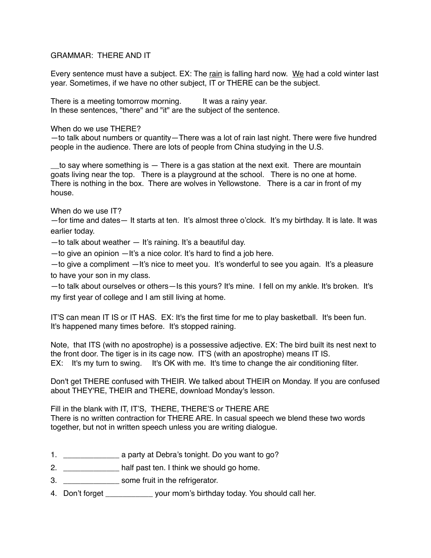## GRAMMAR: THERE AND IT

Every sentence must have a subject. EX: The rain is falling hard now. We had a cold winter last year. Sometimes, if we have no other subject, IT or THERE can be the subject.

There is a meeting tomorrow morning. It was a rainy year. In these sentences, "there" and "it" are the subject of the sentence.

When do we use THERE?

—to talk about numbers or quantity—There was a lot of rain last night. There were five hundred people in the audience. There are lots of people from China studying in the U.S.

to say where something is  $-$  There is a gas station at the next exit. There are mountain goats living near the top. There is a playground at the school. There is no one at home. There is nothing in the box. There are wolves in Yellowstone. There is a car in front of my house.

When do we use IT?

—for time and dates— It starts at ten. It's almost three o'clock. It's my birthday. It is late. It was earlier today.

 $-$  to talk about weather  $-$  It's raining. It's a beautiful day.

—to give an opinion —It's a nice color. It's hard to find a job here.

—to give a compliment —It's nice to meet you. It's wonderful to see you again. It's a pleasure to have your son in my class.

—to talk about ourselves or others—Is this yours? It's mine. I fell on my ankle. It's broken. It's my first year of college and I am still living at home.

IT'S can mean IT IS or IT HAS. EX: It's the first time for me to play basketball. It's been fun. It's happened many times before. It's stopped raining.

Note, that ITS (with no apostrophe) is a possessive adjective. EX: The bird built its nest next to the front door. The tiger is in its cage now. IT'S (with an apostrophe) means IT IS. EX: It's my turn to swing. It's OK with me. It's time to change the air conditioning filter.

Don't get THERE confused with THEIR. We talked about THEIR on Monday. If you are confused about THEY'RE, THEIR and THERE, download Monday's lesson.

Fill in the blank with IT, IT'S, THERE, THERE'S or THERE ARE There is no written contraction for THERE ARE. In casual speech we blend these two words together, but not in written speech unless you are writing dialogue.

- 1. \_\_\_\_\_\_\_\_\_\_\_\_\_ a party at Debra's tonight. Do you want to go?
- 2. \_\_\_\_\_\_\_\_\_\_\_\_\_\_\_ half past ten. I think we should go home.
- 3. \_\_\_\_\_\_\_\_\_\_\_\_\_ some fruit in the refrigerator.
- 4. Don't forget electron wour mom's birthday today. You should call her.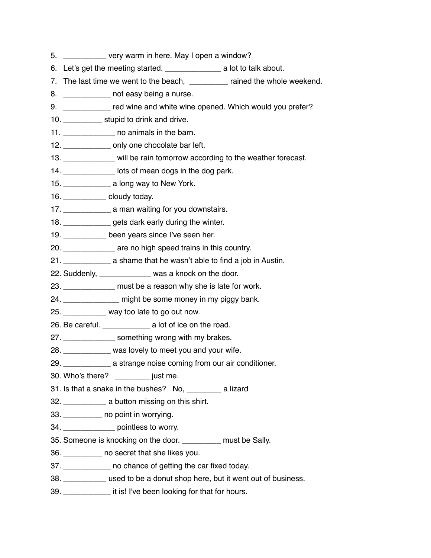- 5. \_\_\_\_\_\_\_\_\_\_ very warm in here. May I open a window?
- 6. Let's get the meeting started. \_\_\_\_\_\_\_\_\_\_\_\_\_ a lot to talk about.
- 7. The last time we went to the beach, \_\_\_\_\_\_\_\_\_ rained the whole weekend.
- 8. **But a not easy being a nurse.**
- 9. The red wine and white wine opened. Which would you prefer?
- 10. \_\_\_\_\_\_\_\_\_\_\_\_\_ stupid to drink and drive.
- 11. \_\_\_\_\_\_\_\_\_\_\_\_ no animals in the barn.
- 12. \_\_\_\_\_\_\_\_\_\_\_\_\_\_ only one chocolate bar left.
- 13. \_\_\_\_\_\_\_\_\_\_\_\_\_ will be rain tomorrow according to the weather forecast.
- 14. **In the lots of mean dogs in the dog park.**
- 15. \_\_\_\_\_\_\_\_\_\_\_ a long way to New York.
- 16. \_\_\_\_\_\_\_\_\_\_ cloudy today.
- 17. \_\_\_\_\_\_\_\_\_\_\_\_\_\_\_\_\_ a man waiting for you downstairs.
- 18. \_\_\_\_\_\_\_\_\_\_\_ gets dark early during the winter.
- 19. \_\_\_\_\_\_\_\_\_\_ been years since I've seen her.
- 20. \_\_\_\_\_\_\_\_\_\_\_\_ are no high speed trains in this country.
- 21. \_\_\_\_\_\_\_\_\_\_\_ a shame that he wasn't able to find a job in Austin.
- 22. Suddenly, \_\_\_\_\_\_\_\_\_\_\_\_ was a knock on the door.
- 23. \_\_\_\_\_\_\_\_\_\_\_\_\_ must be a reason why she is late for work.
- 24. \_\_\_\_\_\_\_\_\_\_\_\_\_\_\_ might be some money in my piggy bank.
- 25. \_\_\_\_\_\_\_\_\_\_ way too late to go out now.
- 26. Be careful. \_\_\_\_\_\_\_\_\_\_\_ a lot of ice on the road.
- 27. **Example 27.** Something wrong with my brakes.
- 28. \_\_\_\_\_\_\_\_\_\_\_ was lovely to meet you and your wife.
- 29. \_\_\_\_\_\_\_\_\_\_\_ a strange noise coming from our air conditioner.
- 30. Who's there? \_\_\_\_\_\_\_\_ just me.
- 31. Is that a snake in the bushes? No, a lizard
- 32. \_\_\_\_\_\_\_\_\_\_ a button missing on this shirt.
- 33. \_\_\_\_\_\_\_\_\_ no point in worrying.
- 34. \_\_\_\_\_\_\_\_\_\_\_\_ pointless to worry.
- 35. Someone is knocking on the door. The must be Sally.
- 36. \_\_\_\_\_\_\_\_\_ no secret that she likes you.
- 37. **The same of getting the car fixed today.**
- 38. \_\_\_\_\_\_\_\_\_\_ used to be a donut shop here, but it went out of business.
- 39. \_\_\_\_\_\_\_\_\_\_\_ it is! I've been looking for that for hours.